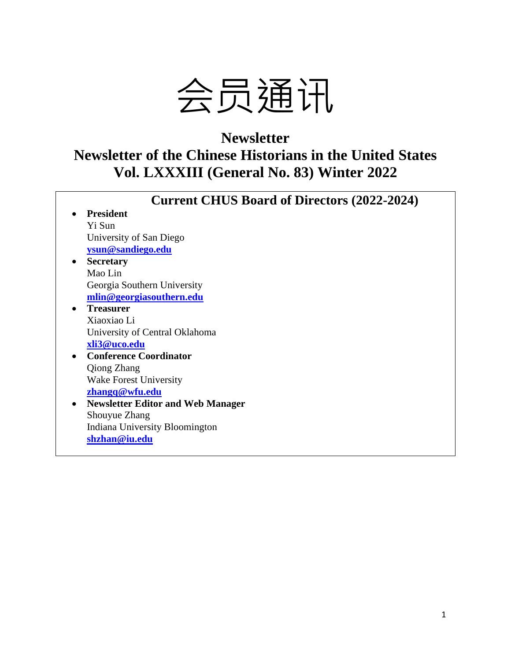

# **Newsletter Newsletter of the Chinese Historians in the United States Vol. LXXXIII (General No. 83) Winter 2022**

| <b>Current CHUS Board of Directors (2022-2024)</b> |
|----------------------------------------------------|
| <b>President</b>                                   |
| Yi Sun                                             |
| University of San Diego                            |
| ysun@sandiego.edu                                  |
| <b>Secretary</b>                                   |
| Mao Lin                                            |
| Georgia Southern University                        |
| mlin@georgiasouthern.edu                           |
| <b>Treasurer</b>                                   |
| Xiaoxiao Li                                        |
| University of Central Oklahoma                     |
| xli3@uco.edu                                       |
| <b>Conference Coordinator</b>                      |
| <b>Qiong Zhang</b>                                 |
| <b>Wake Forest University</b>                      |
| zhangq@wfu.edu                                     |
| <b>Newsletter Editor and Web Manager</b>           |
| Shouyue Zhang                                      |
| Indiana University Bloomington                     |
| shzhan@iu.edu                                      |
|                                                    |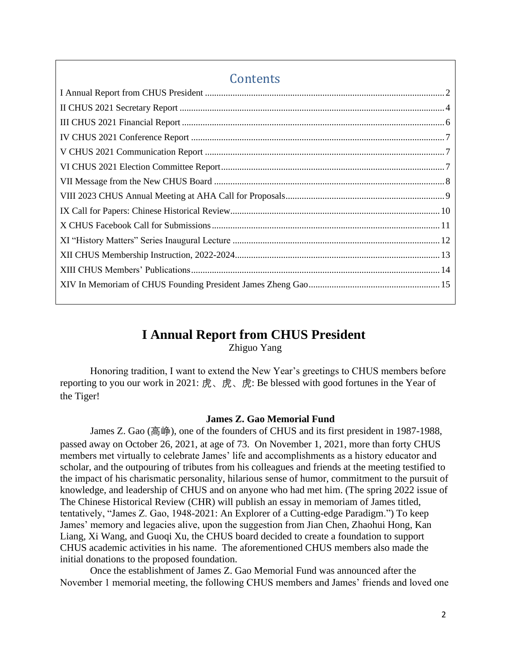## **Contents**

## **I Annual Report from CHUS President**

Zhiguo Yang

<span id="page-1-0"></span>Honoring tradition, I want to extend the New Year's greetings to CHUS members before reporting to you our work in 2021: 虎、虎、虎: Be blessed with good fortunes in the Year of the Tiger!

### **James Z. Gao Memorial Fund**

James Z. Gao (高峥), one of the founders of CHUS and its first president in 1987-1988, passed away on October 26, 2021, at age of 73. On November 1, 2021, more than forty CHUS members met virtually to celebrate James' life and accomplishments as a history educator and scholar, and the outpouring of tributes from his colleagues and friends at the meeting testified to the impact of his charismatic personality, hilarious sense of humor, commitment to the pursuit of knowledge, and leadership of CHUS and on anyone who had met him. (The spring 2022 issue of The Chinese Historical Review (CHR) will publish an essay in memoriam of James titled, tentatively, "James Z. Gao, 1948-2021: An Explorer of a Cutting-edge Paradigm.") To keep James' memory and legacies alive, upon the suggestion from Jian Chen, Zhaohui Hong, Kan Liang, Xi Wang, and Guoqi Xu, the CHUS board decided to create a foundation to support CHUS academic activities in his name. The aforementioned CHUS members also made the initial donations to the proposed foundation.

Once the establishment of James Z. Gao Memorial Fund was announced after the November 1 memorial meeting, the following CHUS members and James' friends and loved one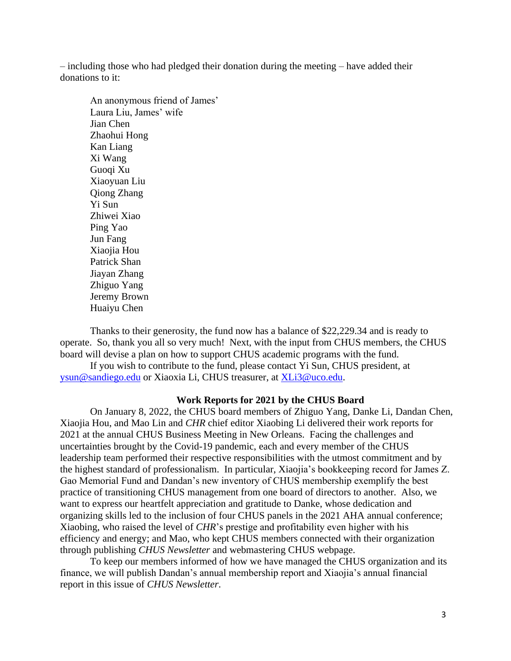– including those who had pledged their donation during the meeting – have added their donations to it:

An anonymous friend of James' Laura Liu, James' wife Jian Chen Zhaohui Hong Kan Liang Xi Wang Guoqi Xu Xiaoyuan Liu Qiong Zhang Yi Sun Zhiwei Xiao Ping Yao Jun Fang Xiaojia Hou Patrick Shan Jiayan Zhang Zhiguo Yang Jeremy Brown Huaiyu Chen

Thanks to their generosity, the fund now has a balance of \$22,229.34 and is ready to operate. So, thank you all so very much! Next, with the input from CHUS members, the CHUS board will devise a plan on how to support CHUS academic programs with the fund.

If you wish to contribute to the fund, please contact Yi Sun, CHUS president, at [ysun@sandiego.edu](mailto:ysun@sandiego.edu) or Xiaoxia Li, CHUS treasurer, at [XLi3@uco.edu.](mailto:XLi3@uco.edu)

### **Work Reports for 2021 by the CHUS Board**

On January 8, 2022, the CHUS board members of Zhiguo Yang, Danke Li, Dandan Chen, Xiaojia Hou, and Mao Lin and *CHR* chief editor Xiaobing Li delivered their work reports for 2021 at the annual CHUS Business Meeting in New Orleans. Facing the challenges and uncertainties brought by the Covid-19 pandemic, each and every member of the CHUS leadership team performed their respective responsibilities with the utmost commitment and by the highest standard of professionalism. In particular, Xiaojia's bookkeeping record for James Z. Gao Memorial Fund and Dandan's new inventory of CHUS membership exemplify the best practice of transitioning CHUS management from one board of directors to another. Also, we want to express our heartfelt appreciation and gratitude to Danke, whose dedication and organizing skills led to the inclusion of four CHUS panels in the 2021 AHA annual conference; Xiaobing, who raised the level of *CHR*'s prestige and profitability even higher with his efficiency and energy; and Mao, who kept CHUS members connected with their organization through publishing *CHUS Newsletter* and webmastering CHUS webpage.

To keep our members informed of how we have managed the CHUS organization and its finance, we will publish Dandan's annual membership report and Xiaojia's annual financial report in this issue of *CHUS Newsletter*.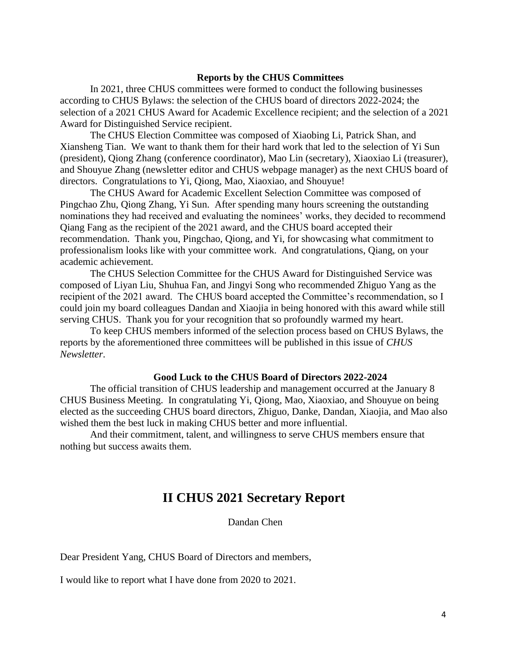### **Reports by the CHUS Committees**

In 2021, three CHUS committees were formed to conduct the following businesses according to CHUS Bylaws: the selection of the CHUS board of directors 2022-2024; the selection of a 2021 CHUS Award for Academic Excellence recipient; and the selection of a 2021 Award for Distinguished Service recipient.

The CHUS Election Committee was composed of Xiaobing Li, Patrick Shan, and Xiansheng Tian. We want to thank them for their hard work that led to the selection of Yi Sun (president), Qiong Zhang (conference coordinator), Mao Lin (secretary), Xiaoxiao Li (treasurer), and Shouyue Zhang (newsletter editor and CHUS webpage manager) as the next CHUS board of directors. Congratulations to Yi, Qiong, Mao, Xiaoxiao, and Shouyue!

The CHUS Award for Academic Excellent Selection Committee was composed of Pingchao Zhu, Qiong Zhang, Yi Sun. After spending many hours screening the outstanding nominations they had received and evaluating the nominees' works, they decided to recommend Qiang Fang as the recipient of the 2021 award, and the CHUS board accepted their recommendation. Thank you, Pingchao, Qiong, and Yi, for showcasing what commitment to professionalism looks like with your committee work. And congratulations, Qiang, on your academic achievement.

The CHUS Selection Committee for the CHUS Award for Distinguished Service was composed of Liyan Liu, Shuhua Fan, and Jingyi Song who recommended Zhiguo Yang as the recipient of the 2021 award. The CHUS board accepted the Committee's recommendation, so I could join my board colleagues Dandan and Xiaojia in being honored with this award while still serving CHUS. Thank you for your recognition that so profoundly warmed my heart.

To keep CHUS members informed of the selection process based on CHUS Bylaws, the reports by the aforementioned three committees will be published in this issue of *CHUS Newsletter*.

### **Good Luck to the CHUS Board of Directors 2022-2024**

The official transition of CHUS leadership and management occurred at the January 8 CHUS Business Meeting. In congratulating Yi, Qiong, Mao, Xiaoxiao, and Shouyue on being elected as the succeeding CHUS board directors, Zhiguo, Danke, Dandan, Xiaojia, and Mao also wished them the best luck in making CHUS better and more influential.

<span id="page-3-0"></span>And their commitment, talent, and willingness to serve CHUS members ensure that nothing but success awaits them.

## **II CHUS 2021 Secretary Report**

Dandan Chen

Dear President Yang, CHUS Board of Directors and members,

I would like to report what I have done from 2020 to 2021.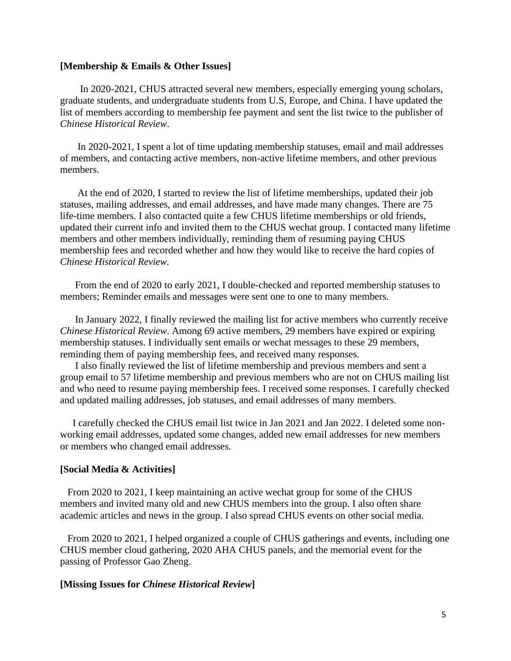#### **[Membership & Emails & Other Issues]**

 In 2020-2021, CHUS attracted several new members, especially emerging young scholars, graduate students, and undergraduate students from U.S, Europe, and China. I have updated the list of members according to membership fee payment and sent the list twice to the publisher of *Chinese Historical Review*.

 In 2020-2021, I spent a lot of time updating membership statuses, email and mail addresses of members, and contacting active members, non-active lifetime members, and other previous members.

 At the end of 2020, I started to review the list of lifetime memberships, updated their job statuses, mailing addresses, and email addresses, and have made many changes. There are 75 life-time members. I also contacted quite a few CHUS lifetime memberships or old friends, updated their current info and invited them to the CHUS wechat group. I contacted many lifetime members and other members individually, reminding them of resuming paying CHUS membership fees and recorded whether and how they would like to receive the hard copies of *Chinese Historical Review.* 

 From the end of 2020 to early 2021, I double-checked and reported membership statuses to members; Reminder emails and messages were sent one to one to many members.

 In January 2022, I finally reviewed the mailing list for active members who currently receive *Chinese Historical Review*. Among 69 active members, 29 members have expired or expiring membership statuses. I individually sent emails or wechat messages to these 29 members, reminding them of paying membership fees, and received many responses.

 I also finally reviewed the list of lifetime membership and previous members and sent a group email to 57 lifetime membership and previous members who are not on CHUS mailing list and who need to resume paying membership fees. I received some responses. I carefully checked and updated mailing addresses, job statuses, and email addresses of many members.

 I carefully checked the CHUS email list twice in Jan 2021 and Jan 2022. I deleted some nonworking email addresses, updated some changes, added new email addresses for new members or members who changed email addresses.

### **[Social Media & Activities]**

 From 2020 to 2021, I keep maintaining an active wechat group for some of the CHUS members and invited many old and new CHUS members into the group. I also often share academic articles and news in the group. I also spread CHUS events on other social media.

 From 2020 to 2021, I helped organized a couple of CHUS gatherings and events, including one CHUS member cloud gathering, 2020 AHA CHUS panels, and the memorial event for the passing of Professor Gao Zheng.

### **[Missing Issues for** *Chinese Historical Review***]**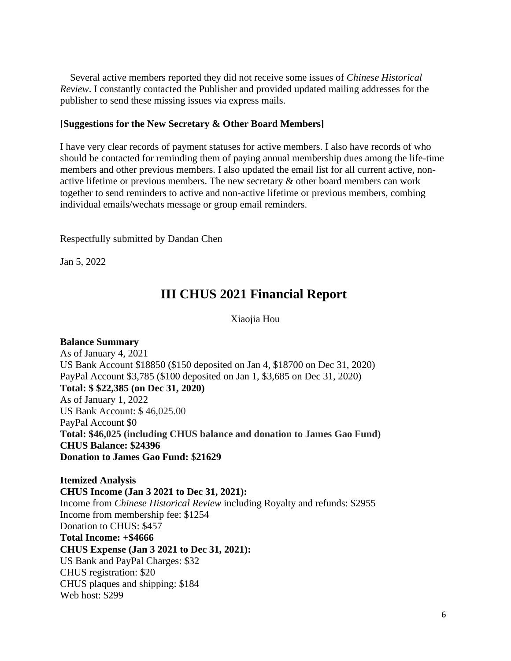Several active members reported they did not receive some issues of *Chinese Historical Review*. I constantly contacted the Publisher and provided updated mailing addresses for the publisher to send these missing issues via express mails.

### **[Suggestions for the New Secretary & Other Board Members]**

I have very clear records of payment statuses for active members. I also have records of who should be contacted for reminding them of paying annual membership dues among the life-time members and other previous members. I also updated the email list for all current active, nonactive lifetime or previous members. The new secretary & other board members can work together to send reminders to active and non-active lifetime or previous members, combing individual emails/wechats message or group email reminders.

Respectfully submitted by Dandan Chen

<span id="page-5-0"></span>Jan 5, 2022

## **III CHUS 2021 Financial Report**

Xiaojia Hou

**Balance Summary** As of January 4, 2021 US Bank Account \$18850 (\$150 deposited on Jan 4, \$18700 on Dec 31, 2020) PayPal Account \$3,785 (\$100 deposited on Jan 1, \$3,685 on Dec 31, 2020) **Total: \$ \$22,385 (on Dec 31, 2020)** As of January 1, 2022 US Bank Account: \$ 46,025.00 PayPal Account \$0 **Total: \$46,025 (including CHUS balance and donation to James Gao Fund) CHUS Balance: \$24396 Donation to James Gao Fund:** \$**21629**

**Itemized Analysis CHUS Income (Jan 3 2021 to Dec 31, 2021):** Income from *Chinese Historical Review* including Royalty and refunds: \$2955 Income from membership fee: \$1254 Donation to CHUS: \$457 **Total Income: +\$4666 CHUS Expense (Jan 3 2021 to Dec 31, 2021):** US Bank and PayPal Charges: \$32 CHUS registration: \$20 CHUS plaques and shipping: \$184 Web host: \$299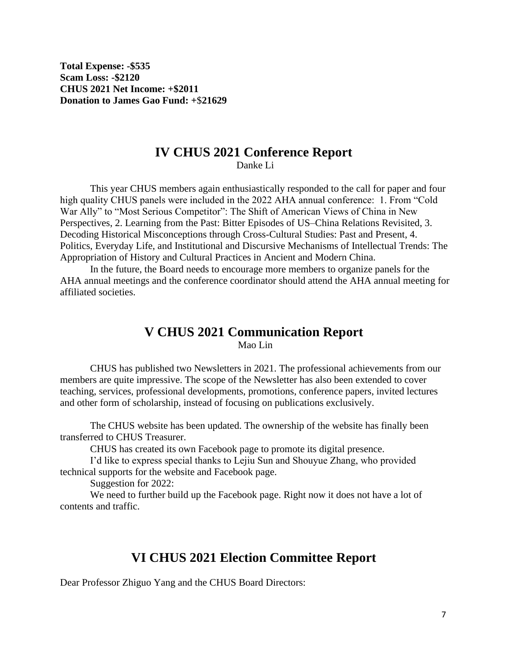**Total Expense: -\$535 Scam Loss: -\$2120 CHUS 2021 Net Income: +\$2011 Donation to James Gao Fund: +**\$**21629**

# **IV CHUS 2021 Conference Report**

Danke Li

<span id="page-6-0"></span>This year CHUS members again enthusiastically responded to the call for paper and four high quality CHUS panels were included in the 2022 AHA annual conference: 1. From "Cold War Ally" to "Most Serious Competitor": The Shift of American Views of China in New Perspectives, 2. Learning from the Past: Bitter Episodes of US–China Relations Revisited, 3. Decoding Historical Misconceptions through Cross-Cultural Studies: Past and Present, 4. Politics, Everyday Life, and Institutional and Discursive Mechanisms of Intellectual Trends: The Appropriation of History and Cultural Practices in Ancient and Modern China.

In the future, the Board needs to encourage more members to organize panels for the AHA annual meetings and the conference coordinator should attend the AHA annual meeting for affiliated societies.

## **V CHUS 2021 Communication Report**  Mao Lin

<span id="page-6-1"></span>CHUS has published two Newsletters in 2021. The professional achievements from our members are quite impressive. The scope of the Newsletter has also been extended to cover teaching, services, professional developments, promotions, conference papers, invited lectures and other form of scholarship, instead of focusing on publications exclusively.

The CHUS website has been updated. The ownership of the website has finally been transferred to CHUS Treasurer.

CHUS has created its own Facebook page to promote its digital presence.

I'd like to express special thanks to Lejiu Sun and Shouyue Zhang, who provided technical supports for the website and Facebook page.

Suggestion for 2022:

We need to further build up the Facebook page. Right now it does not have a lot of contents and traffic.

## **VI CHUS 2021 Election Committee Report**

<span id="page-6-2"></span>Dear Professor Zhiguo Yang and the CHUS Board Directors: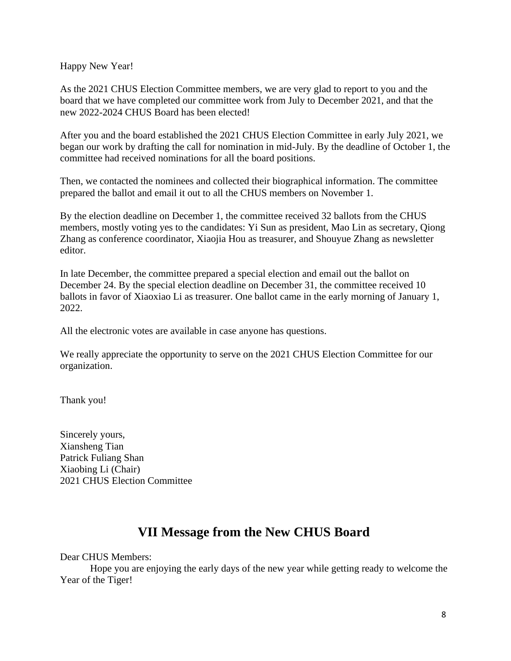Happy New Year!

As the 2021 CHUS Election Committee members, we are very glad to report to you and the board that we have completed our committee work from July to December 2021, and that the new 2022-2024 CHUS Board has been elected!

After you and the board established the 2021 CHUS Election Committee in early July 2021, we began our work by drafting the call for nomination in mid-July. By the deadline of October 1, the committee had received nominations for all the board positions.

Then, we contacted the nominees and collected their biographical information. The committee prepared the ballot and email it out to all the CHUS members on November 1.

By the election deadline on December 1, the committee received 32 ballots from the CHUS members, mostly voting yes to the candidates: Yi Sun as president, Mao Lin as secretary, Qiong Zhang as conference coordinator, Xiaojia Hou as treasurer, and Shouyue Zhang as newsletter editor.

In late December, the committee prepared a special election and email out the ballot on December 24. By the special election deadline on December 31, the committee received 10 ballots in favor of Xiaoxiao Li as treasurer. One ballot came in the early morning of January 1, 2022.

All the electronic votes are available in case anyone has questions.

We really appreciate the opportunity to serve on the 2021 CHUS Election Committee for our organization.

Thank you!

Sincerely yours, Xiansheng Tian Patrick Fuliang Shan Xiaobing Li (Chair) 2021 CHUS Election Committee

# **VII Message from the New CHUS Board**

### <span id="page-7-0"></span>Dear CHUS Members:

Hope you are enjoying the early days of the new year while getting ready to welcome the Year of the Tiger!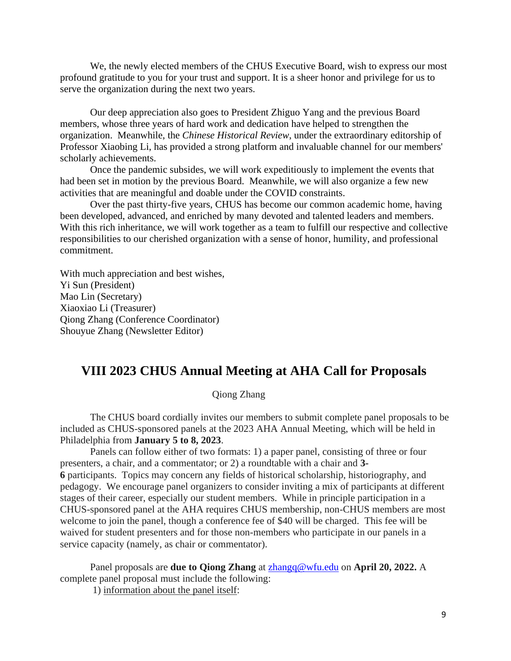We, the newly elected members of the CHUS Executive Board, wish to express our most profound gratitude to you for your trust and support. It is a sheer honor and privilege for us to serve the organization during the next two years.

Our deep appreciation also goes to President Zhiguo Yang and the previous Board members, whose three years of hard work and dedication have helped to strengthen the organization. Meanwhile, the *Chinese Historical Review*, under the extraordinary editorship of Professor Xiaobing Li, has provided a strong platform and invaluable channel for our members' scholarly achievements.

Once the pandemic subsides, we will work expeditiously to implement the events that had been set in motion by the previous Board. Meanwhile, we will also organize a few new activities that are meaningful and doable under the COVID constraints.

Over the past thirty-five years, CHUS has become our common academic home, having been developed, advanced, and enriched by many devoted and talented leaders and members. With this rich inheritance, we will work together as a team to fulfill our respective and collective responsibilities to our cherished organization with a sense of honor, humility, and professional commitment.

With much appreciation and best wishes, Yi Sun (President) Mao Lin (Secretary) Xiaoxiao Li (Treasurer) Qiong Zhang (Conference Coordinator) Shouyue Zhang (Newsletter Editor)

## <span id="page-8-0"></span>**VIII 2023 CHUS Annual Meeting at AHA Call for Proposals**

Qiong Zhang

The CHUS board cordially invites our members to submit complete panel proposals to be included as CHUS-sponsored panels at the 2023 AHA Annual Meeting, which will be held in Philadelphia from **January 5 to 8, 2023**.

Panels can follow either of two formats: 1) a paper panel, consisting of three or four presenters, a chair, and a commentator; or 2) a roundtable with a chair and **3- 6** participants. Topics may concern any fields of historical scholarship, historiography, and pedagogy. We encourage panel organizers to consider inviting a mix of participants at different stages of their career, especially our student members. While in principle participation in a CHUS-sponsored panel at the AHA requires CHUS membership, non-CHUS members are most welcome to join the panel, though a conference fee of \$40 will be charged. This fee will be waived for student presenters and for those non-members who participate in our panels in a service capacity (namely, as chair or commentator).

Panel proposals are **due to Qiong Zhang** at [zhangq@wfu.edu](mailto:zhangq@wfu.edu) on **April 20, 2022.** A complete panel proposal must include the following:

1) information about the panel itself: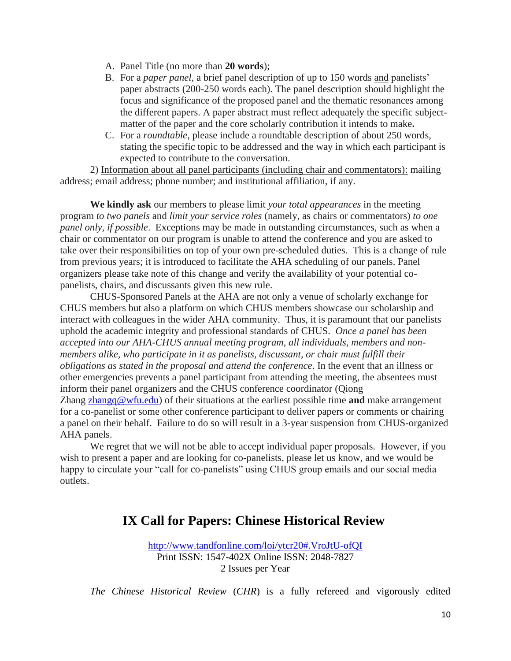- A. Panel Title (no more than **20 words**);
- B. For a *paper panel,* a brief panel description of up to 150 words and panelists' paper abstracts (200-250 words each). The panel description should highlight the focus and significance of the proposed panel and the thematic resonances among the different papers. A paper abstract must reflect adequately the specific subjectmatter of the paper and the core scholarly contribution it intends to make**.**
- C. For a *roundtable*, please include a roundtable description of about 250 words, stating the specific topic to be addressed and the way in which each participant is expected to contribute to the conversation.

2) Information about all panel participants (including chair and commentators): mailing address; email address; phone number; and institutional affiliation, if any.

**We kindly ask** our members to please limit *your total appearances* in the meeting program *to two panels* and *limit your service roles* (namely, as chairs or commentators) *to one panel only, if possible*. Exceptions may be made in outstanding circumstances, such as when a chair or commentator on our program is unable to attend the conference and you are asked to take over their responsibilities on top of your own pre-scheduled duties. This is a change of rule from previous years; it is introduced to facilitate the AHA scheduling of our panels. Panel organizers please take note of this change and verify the availability of your potential copanelists, chairs, and discussants given this new rule.

CHUS-Sponsored Panels at the AHA are not only a venue of scholarly exchange for CHUS members but also a platform on which CHUS members showcase our scholarship and interact with colleagues in the wider AHA community. Thus, it is paramount that our panelists uphold the academic integrity and professional standards of CHUS. *Once a panel has been accepted into our AHA-CHUS annual meeting program, all individuals, members and nonmembers alike, who participate in it as panelists, discussant, or chair must fulfill their obligations as stated in the proposal and attend the conference*. In the event that an illness or other emergencies prevents a panel participant from attending the meeting, the absentees must inform their panel organizers and the CHUS conference coordinator (Qiong Zhang [zhangq@wfu.edu\)](mailto:zhangq@wfu.edu) of their situations at the earliest possible time **and** make arrangement for a co-panelist or some other conference participant to deliver papers or comments or chairing a panel on their behalf. Failure to do so will result in a 3-year suspension from CHUS-organized AHA panels.

We regret that we will not be able to accept individual paper proposals. However, if you wish to present a paper and are looking for co-panelists, please let us know, and we would be happy to circulate your "call for co-panelists" using CHUS group emails and our social media outlets.

## <span id="page-9-0"></span>**IX Call for Papers: Chinese Historical Review**

<http://www.tandfonline.com/loi/ytcr20#.VroJtU-ofQI> Print ISSN: 1547-402X Online ISSN: 2048-7827 2 Issues per Year

*The Chinese Historical Review* (*CHR*) is a fully refereed and vigorously edited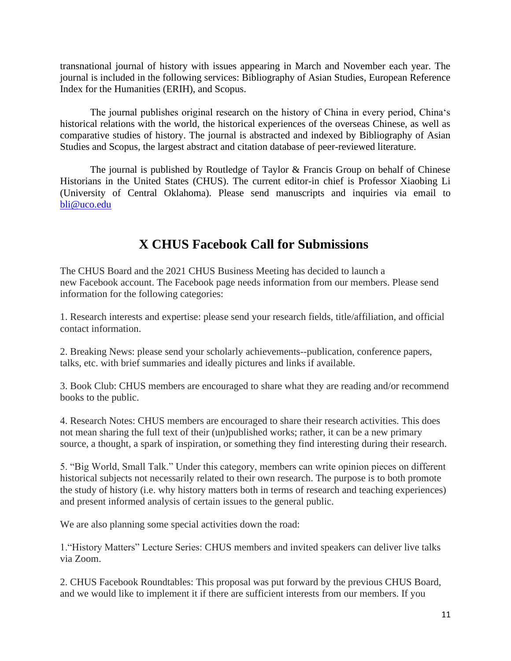transnational journal of history with issues appearing in March and November each year. The journal is included in the following services: Bibliography of Asian Studies, European Reference Index for the Humanities (ERIH), and Scopus.

The journal publishes original research on the history of China in every period, China's historical relations with the world, the historical experiences of the overseas Chinese, as well as comparative studies of history. The journal is abstracted and indexed by Bibliography of Asian Studies and Scopus, the largest abstract and citation database of peer-reviewed literature.

The journal is published by Routledge of Taylor & Francis Group on behalf of Chinese Historians in the United States (CHUS). The current editor-in chief is Professor Xiaobing Li (University of Central Oklahoma). Please send manuscripts and inquiries via email to [bli@uco.edu](mailto:bli@uco.edu)

# **X CHUS Facebook Call for Submissions**

<span id="page-10-0"></span>The CHUS Board and the 2021 CHUS Business Meeting has decided to launch a new Facebook account. The Facebook page needs information from our members. Please send information for the following categories:

1. Research interests and expertise: please send your research fields, title/affiliation, and official contact information.

2. Breaking News: please send your scholarly achievements--publication, conference papers, talks, etc. with brief summaries and ideally pictures and links if available.

3. Book Club: CHUS members are encouraged to share what they are reading and/or recommend books to the public.

4. Research Notes: CHUS members are encouraged to share their research activities. This does not mean sharing the full text of their (un)published works; rather, it can be a new primary source, a thought, a spark of inspiration, or something they find interesting during their research.

5. "Big World, Small Talk." Under this category, members can write opinion pieces on different historical subjects not necessarily related to their own research. The purpose is to both promote the study of history (i.e. why history matters both in terms of research and teaching experiences) and present informed analysis of certain issues to the general public.

We are also planning some special activities down the road:

1."History Matters" Lecture Series: CHUS members and invited speakers can deliver live talks via Zoom.

2. CHUS Facebook Roundtables: This proposal was put forward by the previous CHUS Board, and we would like to implement it if there are sufficient interests from our members. If you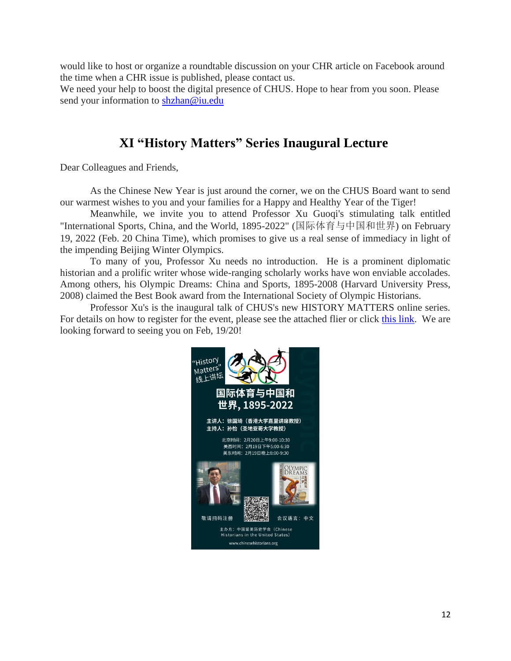would like to host or organize a roundtable discussion on your CHR article on Facebook around the time when a CHR issue is published, please contact us.

We need your help to boost the digital presence of CHUS. Hope to hear from you soon. Please send your information to [shzhan@iu.edu](mailto:shzhan@iu.edu)

## **XI "History Matters" Series Inaugural Lecture**

<span id="page-11-0"></span>Dear Colleagues and Friends,

As the Chinese New Year is just around the corner, we on the CHUS Board want to send our warmest wishes to you and your families for a Happy and Healthy Year of the Tiger!

Meanwhile, we invite you to attend Professor Xu Guoqi's stimulating talk entitled "International Sports, China, and the World, 1895-2022" (国际体育与中国和世界) on February 19, 2022 (Feb. 20 China Time), which promises to give us a real sense of immediacy in light of the impending Beijing Winter Olympics.

To many of you, Professor Xu needs no introduction. He is a prominent diplomatic historian and a prolific writer whose wide-ranging scholarly works have won enviable accolades. Among others, his Olympic Dreams: China and Sports, 1895-2008 (Harvard University Press, 2008) claimed the Best Book award from the International Society of Olympic Historians.

Professor Xu's is the inaugural talk of CHUS's new HISTORY MATTERS online series. For details on how to register for the event, please see the attached flier or click [this link.](https://iu.zoom.us/meeting/register/tZcscuCgqDIjHdd7iusbRkWoAOcmWBpqYxHF) We are looking forward to seeing you on Feb, 19/20!

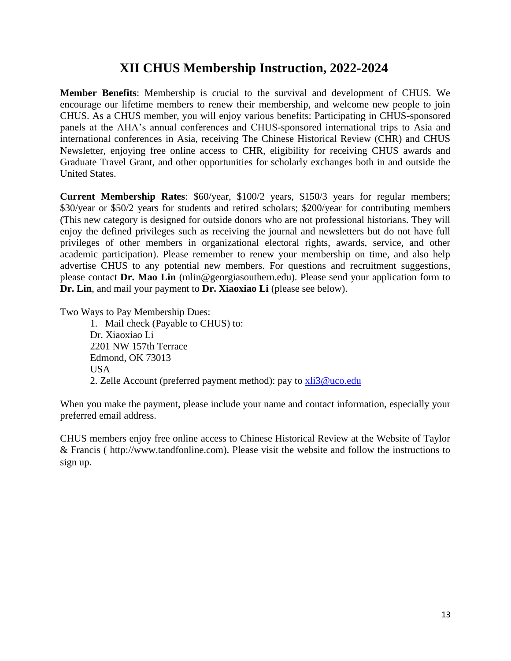## **XII CHUS Membership Instruction, 2022-2024**

<span id="page-12-0"></span>**Member Benefits**: Membership is crucial to the survival and development of CHUS. We encourage our lifetime members to renew their membership, and welcome new people to join CHUS. As a CHUS member, you will enjoy various benefits: Participating in CHUS-sponsored panels at the AHA's annual conferences and CHUS-sponsored international trips to Asia and international conferences in Asia, receiving The Chinese Historical Review (CHR) and CHUS Newsletter, enjoying free online access to CHR, eligibility for receiving CHUS awards and Graduate Travel Grant, and other opportunities for scholarly exchanges both in and outside the United States.

**Current Membership Rates**: \$60/year, \$100/2 years, \$150/3 years for regular members; \$30/year or \$50/2 years for students and retired scholars; \$200/year for contributing members (This new category is designed for outside donors who are not professional historians. They will enjoy the defined privileges such as receiving the journal and newsletters but do not have full privileges of other members in organizational electoral rights, awards, service, and other academic participation). Please remember to renew your membership on time, and also help advertise CHUS to any potential new members. For questions and recruitment suggestions, please contact **Dr. Mao Lin** (mlin@georgiasouthern.edu). Please send your application form to **Dr. Lin**, and mail your payment to **Dr. Xiaoxiao Li** (please see below).

Two Ways to Pay Membership Dues:

1. Mail check (Payable to CHUS) to: Dr. Xiaoxiao Li 2201 NW 157th Terrace Edmond, OK 73013 USA 2. Zelle Account (preferred payment method): pay to [xli3@uco.edu](mailto:xli3@uco.edu)

When you make the payment, please include your name and contact information, especially your preferred email address.

CHUS members enjoy free online access to Chinese Historical Review at the Website of Taylor & Francis ( http://www.tandfonline.com). Please visit the website and follow the instructions to sign up.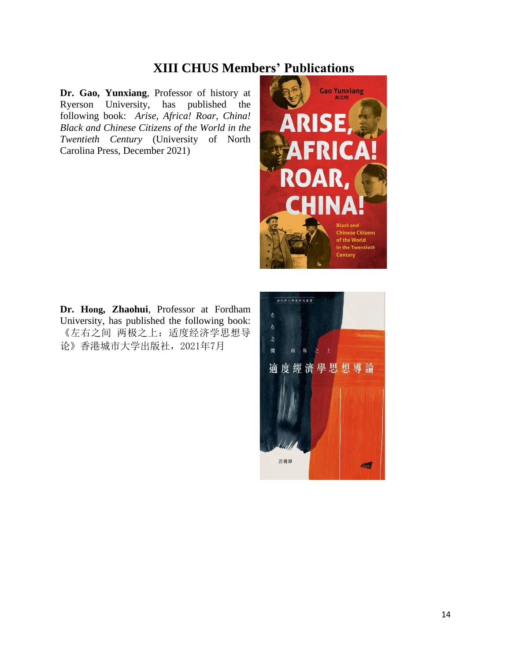## **XIII CHUS Members' Publications**

<span id="page-13-0"></span>**Dr. Gao, Yunxiang**, Professor of history at Ryerson University, has published the following book: *Arise, Africa! Roar, China! Black and Chinese Citizens of the World in the Twentieth Century* (University of North Carolina Press, December 2021)



**Dr. Hong, Zhaohui**, Professor at Fordham University, has published the following book: 《左右之间 两极之上:适度经济学思想导 论》香港城市大学出版社,2021年7月

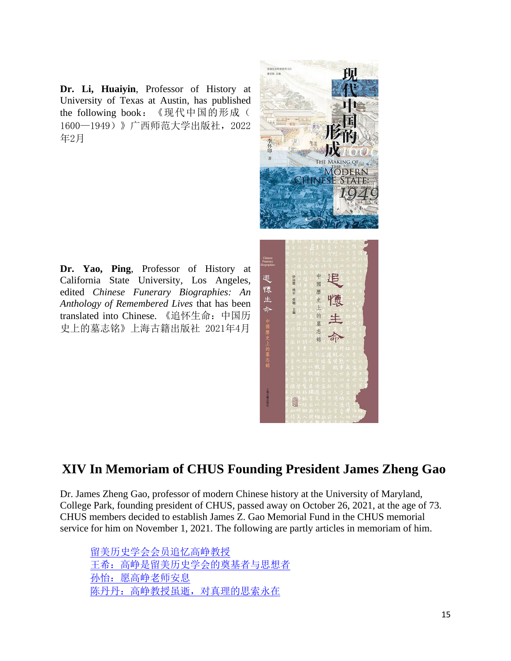**Dr. Li, Huaiyin**, Professor of History at University of Texas at Austin, has published the following book:《现代中国的形成( 1600—1949)》广西师范大学出版社,2022 年2月

**Dr. Yao, Ping**, Professor of History at California State University, Los Angeles, edited *Chinese Funerary Biographies: An Anthology of Remembered Lives* that has been translated into Chinese. 《追怀生命:中国历 史上的墓志铭》上海古籍出版社 2021年4月



# <span id="page-14-0"></span>**XIV In Memoriam of CHUS Founding President James Zheng Gao**

Dr. James Zheng Gao, professor of modern Chinese history at the University of Maryland, College Park, founding president of CHUS, passed away on October 26, 2021, at the age of 73. CHUS members decided to establish James Z. Gao Memorial Fund in the CHUS memorial service for him on November 1, 2021. The following are partly articles in memoriam of him.

[留美历史学会会员追忆高峥教授](http://k.uscnpm.org/wap/article.aspx?d=98&id=26346) [王希:高峥是留美历史学会的奠基者与思想者](http://k.uscnpm.org/wap/article.aspx?d=98&id=26349) 孙怡: 愿高峥老师安息 [陈丹丹:高峥教授虽逝,对真理的思索永在](http://k.uscnpm.org/wap/article.aspx?d=98&id=26315)